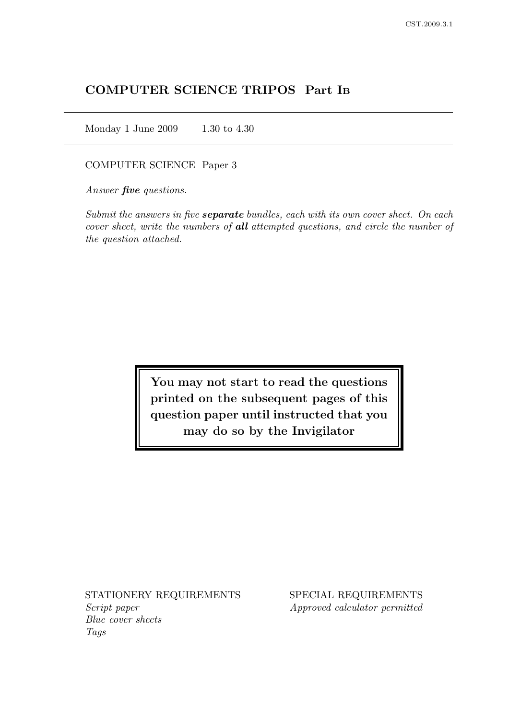# COMPUTER SCIENCE TRIPOS Part I<sup>B</sup>

Monday 1 June 2009 1.30 to 4.30

#### COMPUTER SCIENCE Paper 3

Answer **five** questions.

Submit the answers in five **separate** bundles, each with its own cover sheet. On each cover sheet, write the numbers of all attempted questions, and circle the number of the question attached.

> You may not start to read the questions printed on the subsequent pages of this question paper until instructed that you may do so by the Invigilator

Script paper Approved calculator permitted Blue cover sheets Tags

STATIONERY REQUIREMENTS SPECIAL REQUIREMENTS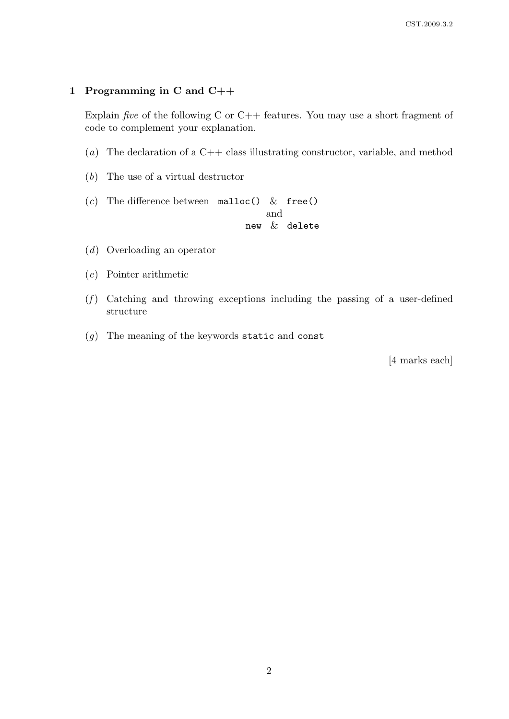### 1 Programming in C and C++

Explain *five* of the following C or  $C++$  features. You may use a short fragment of code to complement your explanation.

- (a) The declaration of a  $C++$  class illustrating constructor, variable, and method
- (b) The use of a virtual destructor
- (c) The difference between malloc() & free() and

new & delete

- (d) Overloading an operator
- (e) Pointer arithmetic
- $(f)$  Catching and throwing exceptions including the passing of a user-defined structure
- (g) The meaning of the keywords static and const

[4 marks each]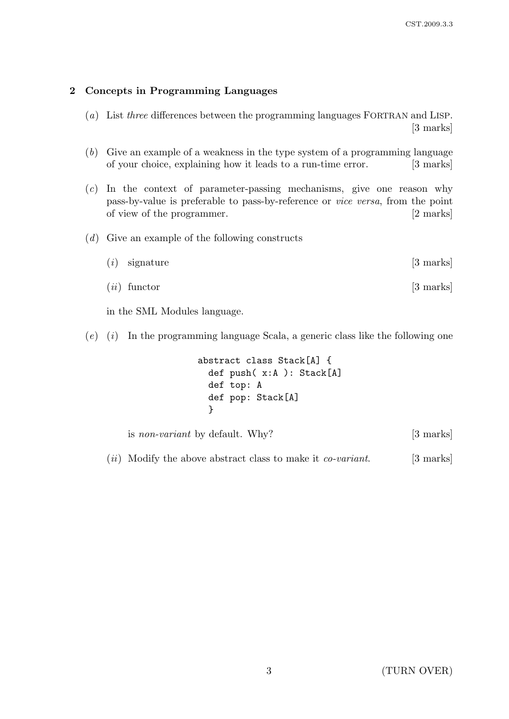## 2 Concepts in Programming Languages

- (a) List three differences between the programming languages FORTRAN and LISP. [3 marks]
- (b) Give an example of a weakness in the type system of a programming language of your choice, explaining how it leads to a run-time error. [3 marks]
- (c) In the context of parameter-passing mechanisms, give one reason why pass-by-value is preferable to pass-by-reference or vice versa, from the point of view of the programmer. [2 marks]
- (d) Give an example of the following constructs

| $(i)$ signature | $[3 \text{ marks}]$ |
|-----------------|---------------------|
| $(ii)$ functor  | $[3 \text{ marks}]$ |

in the SML Modules language.

 $(e)$  (i) In the programming language Scala, a generic class like the following one

```
abstract class Stack[A] {
  def push( x:A ): Stack[A]
  def top: A
  def pop: Stack[A]
  }
```
is non-variant by default. Why? [3 marks]

 $(ii)$  Modify the above abstract class to make it *co-variant*. [3 marks]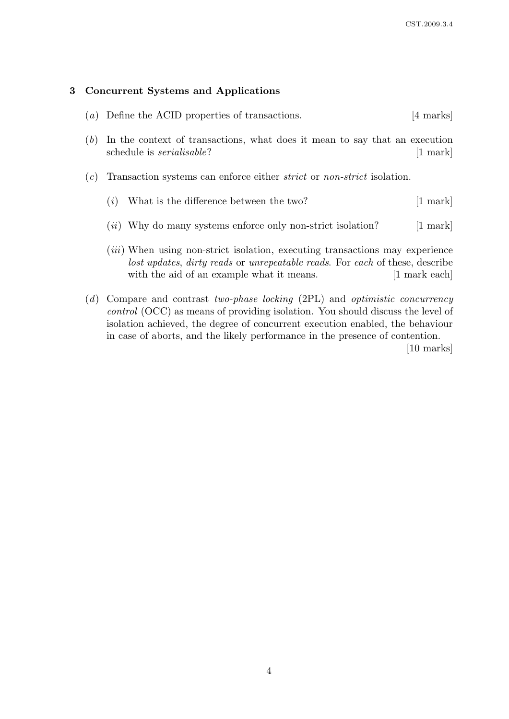## 3 Concurrent Systems and Applications

- (a) Define the ACID properties of transactions. [4 marks]
- (b) In the context of transactions, what does it mean to say that an execution schedule is *serialisable*? [1 mark]
- (c) Transaction systems can enforce either strict or non-strict isolation.
	- (*i*) What is the difference between the two?  $[1 \text{ mark}]$
	- $(ii)$  Why do many systems enforce only non-strict isolation? [1 mark]
	- (*iii*) When using non-strict isolation, executing transactions may experience lost updates, dirty reads or unrepeatable reads. For each of these, describe with the aid of an example what it means. [1 mark each]
- (d) Compare and contrast two-phase locking (2PL) and optimistic concurrency control (OCC) as means of providing isolation. You should discuss the level of isolation achieved, the degree of concurrent execution enabled, the behaviour in case of aborts, and the likely performance in the presence of contention.

[10 marks]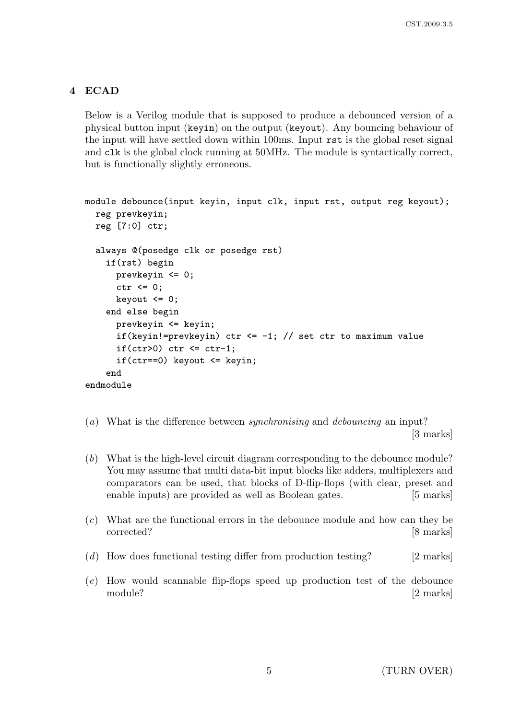# 4 ECAD

Below is a Verilog module that is supposed to produce a debounced version of a physical button input (keyin) on the output (keyout). Any bouncing behaviour of the input will have settled down within 100ms. Input rst is the global reset signal and clk is the global clock running at 50MHz. The module is syntactically correct, but is functionally slightly erroneous.

```
module debounce(input keyin, input clk, input rst, output reg keyout);
  reg prevkeyin;
 reg [7:0] ctr;
  always @(posedge clk or posedge rst)
    if(rst) begin
      prevkeyin <= 0;
      ctr \leq 0:
      keyout \leq 0;
    end else begin
      prevkeyin <= keyin;
      if(keyin!=prevkeyin) ctr <= -1; // set ctr to maximum value
      if(ctr>0) ctr \le ctr-1;
      if(ctr==0) keyout <= keyin;
    end
endmodule
```
- (a) What is the difference between synchronising and debouncing an input? [3 marks]
- (b) What is the high-level circuit diagram corresponding to the debounce module? You may assume that multi data-bit input blocks like adders, multiplexers and comparators can be used, that blocks of D-flip-flops (with clear, preset and enable inputs) are provided as well as Boolean gates. [5 marks]
- (c) What are the functional errors in the debounce module and how can they be corrected? [8 marks]
- (d) How does functional testing differ from production testing? [2 marks]
- (e) How would scannable flip-flops speed up production test of the debounce module? [2 marks]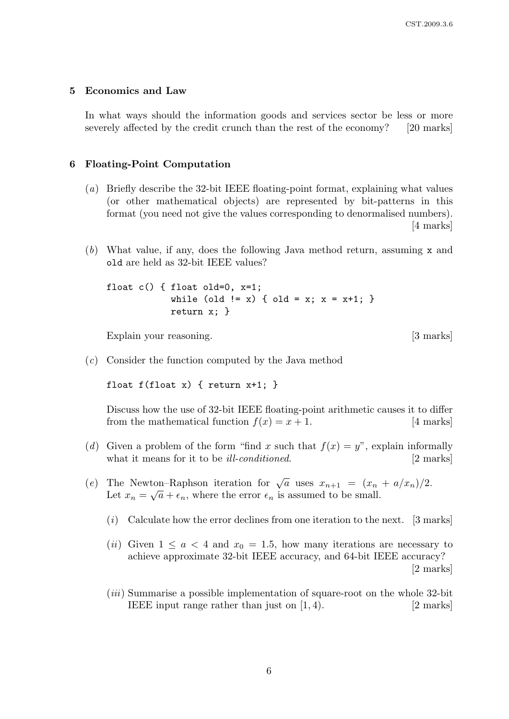#### 5 Economics and Law

In what ways should the information goods and services sector be less or more severely affected by the credit crunch than the rest of the economy? [20 marks]

### 6 Floating-Point Computation

- (a) Briefly describe the 32-bit IEEE floating-point format, explaining what values (or other mathematical objects) are represented by bit-patterns in this format (you need not give the values corresponding to denormalised numbers). [4 marks]
- (b) What value, if any, does the following Java method return, assuming x and old are held as 32-bit IEEE values?

float c() { float old=0, x=1; while (old  $!= x$ ) { old = x; x = x+1; } return x; }

Explain your reasoning. [3 marks]

(c) Consider the function computed by the Java method

float  $f(f$ loat  $x)$  { return  $x+1$ ; }

Discuss how the use of 32-bit IEEE floating-point arithmetic causes it to differ from the mathematical function  $f(x) = x + 1$ . [4 marks]

- (d) Given a problem of the form "find x such that  $f(x) = y$ ", explain informally what it means for it to be *ill-conditioned*. [2 marks]
- (e) The Newton–Raphson iteration for  $\sqrt{a}$  uses  $x_{n+1} = (x_n + a/x_n)/2$ . Let  $x_n = \sqrt{a} + \epsilon_n$ , where the error  $\epsilon_n$  is assumed to be small.
	- $(i)$  Calculate how the error declines from one iteration to the next. [3 marks]
	- (ii) Given  $1 \le a < 4$  and  $x_0 = 1.5$ , how many iterations are necessary to achieve approximate 32-bit IEEE accuracy, and 64-bit IEEE accuracy? [2 marks]
	- (iii) Summarise a possible implementation of square-root on the whole 32-bit IEEE input range rather than just on  $(1, 4)$ . [2 marks]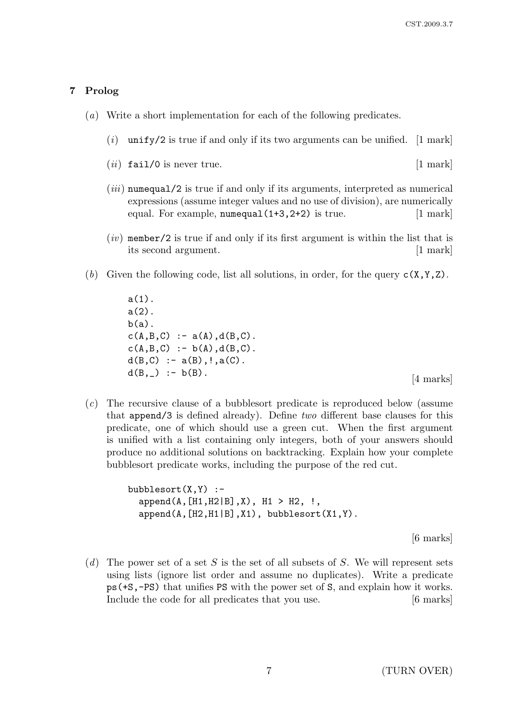## 7 Prolog

- (a) Write a short implementation for each of the following predicates.
	- $(i)$  unify/2 is true if and only if its two arguments can be unified. [1 mark]
	- $(ii)$  fail/0 is never true.  $[1 \text{ mark}]$
	- $(iii)$  numequal/2 is true if and only if its arguments, interpreted as numerical expressions (assume integer values and no use of division), are numerically equal. For example, numequal(1+3,2+2) is true. [1 mark]
	- $(iv)$  member/2 is true if and only if its first argument is within the list that is its second argument. [1 mark]
- (b) Given the following code, list all solutions, in order, for the query  $c(X, Y, Z)$ .

 $a(1)$ .  $a(2)$ .  $b(a)$ .  $c(A,B,C) := a(A), d(B,C)$ .  $c(A,B,C) := b(A), d(B,C)$ .  $d(B, C) := a(B), !, a(C).$  $d(B, _{\_})$  :- b(B). [4 marks]

(c) The recursive clause of a bubblesort predicate is reproduced below (assume that append/3 is defined already). Define two different base clauses for this predicate, one of which should use a green cut. When the first argument is unified with a list containing only integers, both of your answers should produce no additional solutions on backtracking. Explain how your complete bubblesort predicate works, including the purpose of the red cut.

```
bubblesort(X,Y) :-
  append(A, [H1, H2|B], X), H1 > H2, !,
  append(A,[H2,H1|B],X1), bubblesort(X1,Y).
```
[6 marks]

(d) The power set of a set S is the set of all subsets of S. We will represent sets using lists (ignore list order and assume no duplicates). Write a predicate ps(+S,-PS) that unifies PS with the power set of S, and explain how it works. Include the code for all predicates that you use. [6 marks]